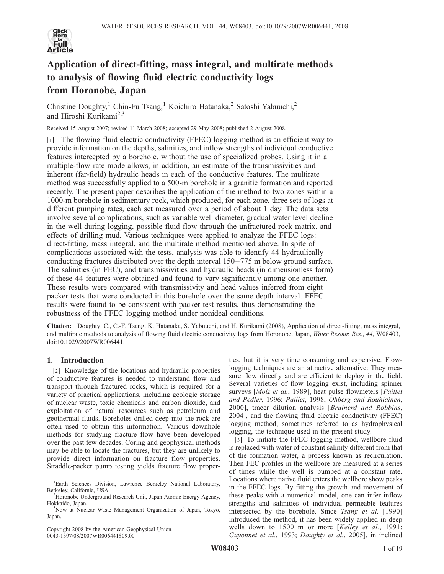

# Application of direct-fitting, mass integral, and multirate methods to analysis of flowing fluid electric conductivity logs from Horonobe, Japan

Christine Doughty,<sup>1</sup> Chin-Fu Tsang,<sup>1</sup> Koichiro Hatanaka,<sup>2</sup> Satoshi Yabuuchi,<sup>2</sup> and Hiroshi Kurikami<sup>2,3</sup>

Received 15 August 2007; revised 11 March 2008; accepted 29 May 2008; published 2 August 2008.

[1] The flowing fluid electric conductivity (FFEC) logging method is an efficient way to provide information on the depths, salinities, and inflow strengths of individual conductive features intercepted by a borehole, without the use of specialized probes. Using it in a multiple-flow rate mode allows, in addition, an estimate of the transmissivities and inherent (far-field) hydraulic heads in each of the conductive features. The multirate method was successfully applied to a 500-m borehole in a granitic formation and reported recently. The present paper describes the application of the method to two zones within a 1000-m borehole in sedimentary rock, which produced, for each zone, three sets of logs at different pumping rates, each set measured over a period of about 1 day. The data sets involve several complications, such as variable well diameter, gradual water level decline in the well during logging, possible fluid flow through the unfractured rock matrix, and effects of drilling mud. Various techniques were applied to analyze the FFEC logs: direct-fitting, mass integral, and the multirate method mentioned above. In spite of complications associated with the tests, analysis was able to identify 44 hydraulically conducting fractures distributed over the depth interval 150–775 m below ground surface. The salinities (in FEC), and transmissivities and hydraulic heads (in dimensionless form) of these 44 features were obtained and found to vary significantly among one another. These results were compared with transmissivity and head values inferred from eight packer tests that were conducted in this borehole over the same depth interval. FFEC results were found to be consistent with packer test results, thus demonstrating the robustness of the FFEC logging method under nonideal conditions.

Citation: Doughty, C., C.-F. Tsang, K. Hatanaka, S. Yabuuchi, and H. Kurikami (2008), Application of direct-fitting, mass integral, and multirate methods to analysis of flowing fluid electric conductivity logs from Horonobe, Japan, Water Resour. Res., 44, W08403, doi:10.1029/2007WR006441.

# 1. Introduction

[2] Knowledge of the locations and hydraulic properties of conductive features is needed to understand flow and transport through fractured rocks, which is required for a variety of practical applications, including geologic storage of nuclear waste, toxic chemicals and carbon dioxide, and exploitation of natural resources such as petroleum and geothermal fluids. Boreholes drilled deep into the rock are often used to obtain this information. Various downhole methods for studying fracture flow have been developed over the past few decades. Coring and geophysical methods may be able to locate the fractures, but they are unlikely to provide direct information on fracture flow properties. Straddle-packer pump testing yields fracture flow proper-

Copyright 2008 by the American Geophysical Union. 0043-1397/08/2007WR006441\$09.00

ties, but it is very time consuming and expensive. Flowlogging techniques are an attractive alternative: They measure flow directly and are efficient to deploy in the field. Several varieties of flow logging exist, including spinner surveys [*Molz et al.*, 1989], heat pulse flowmeters [*Paillet* and Pedler, 1996; Paillet, 1998; Öhberg and Rouhiainen, 2000], tracer dilution analysis [Brainerd and Robbins, 2004], and the flowing fluid electric conductivity (FFEC) logging method, sometimes referred to as hydrophysical logging, the technique used in the present study.

[3] To initiate the FFEC logging method, wellbore fluid is replaced with water of constant salinity different from that of the formation water, a process known as recirculation. Then FEC profiles in the wellbore are measured at a series of times while the well is pumped at a constant rate. Locations where native fluid enters the wellbore show peaks in the FFEC logs. By fitting the growth and movement of these peaks with a numerical model, one can infer inflow strengths and salinities of individual permeable features intersected by the borehole. Since Tsang et al. [1990] introduced the method, it has been widely applied in deep wells down to 1500 m or more [Kelley et al., 1991; Guyonnet et al., 1993; Doughty et al., 2005], in inclined

<sup>&</sup>lt;sup>1</sup>Earth Sciences Division, Lawrence Berkeley National Laboratory, Berkeley, California, USA. <sup>2</sup>

<sup>&</sup>lt;sup>2</sup>Horonobe Underground Research Unit, Japan Atomic Energy Agency, Hokkaido, Japan.

<sup>&</sup>lt;sup>3</sup>Now at Nuclear Waste Management Organization of Japan, Tokyo, Japan.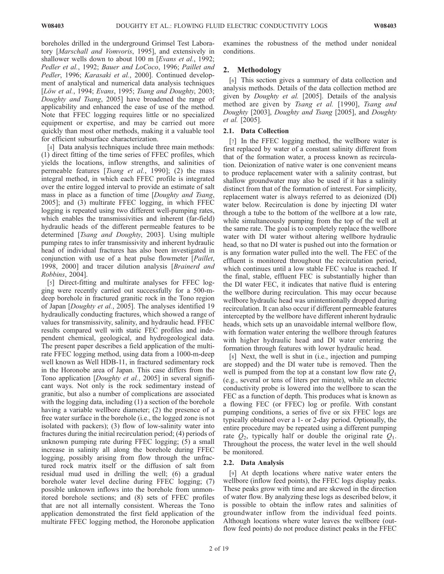boreholes drilled in the underground Grimsel Test Laboratory [Marschall and Vomvoris, 1995], and extensively in shallower wells down to about 100 m [Evans et al., 1992; Pedler et al., 1992; Bauer and LoCoco, 1996; Paillet and Pedler, 1996; Karasaki et al., 2000]. Continued development of analytical and numerical data analysis techniques [Löw et al., 1994; Evans, 1995; Tsang and Doughty, 2003; Doughty and Tsang, 2005] have broadened the range of applicability and enhanced the ease of use of the method. Note that FFEC logging requires little or no specialized equipment or expertise, and may be carried out more quickly than most other methods, making it a valuable tool for efficient subsurface characterization.

[4] Data analysis techniques include three main methods: (1) direct fitting of the time series of FFEC profiles, which yields the locations, inflow strengths, and salinities of permeable features [Tsang et al., 1990]; (2) the mass integral method, in which each FFEC profile is integrated over the entire logged interval to provide an estimate of salt mass in place as a function of time [Doughty and Tsang, 2005]; and (3) multirate FFEC logging, in which FFEC logging is repeated using two different well-pumping rates, which enables the transmissivities and inherent (far-field) hydraulic heads of the different permeable features to be determined [Tsang and Doughty, 2003]. Using multiple pumping rates to infer transmissivity and inherent hydraulic head of individual fractures has also been investigated in conjunction with use of a heat pulse flowmeter [Paillet, 1998, 2000] and tracer dilution analysis [Brainerd and Robbins, 2004].

[5] Direct-fitting and multirate analyses for FFEC logging were recently carried out successfully for a 500-mdeep borehole in fractured granitic rock in the Tono region of Japan [Doughty et al., 2005]. The analyses identified 19 hydraulically conducting fractures, which showed a range of values for transmissivity, salinity, and hydraulic head. FFEC results compared well with static FEC profiles and independent chemical, geological, and hydrogeological data. The present paper describes a field application of the multirate FFEC logging method, using data from a 1000-m-deep well known as Well HDB-11, in fractured sedimentary rock in the Horonobe area of Japan. This case differs from the Tono application [Doughty et al., 2005] in several significant ways. Not only is the rock sedimentary instead of granitic, but also a number of complications are associated with the logging data, including (1) a section of the borehole having a variable wellbore diameter; (2) the presence of a free water surface in the borehole (i.e., the logged zone is not isolated with packers); (3) flow of low-salinity water into fractures during the initial recirculation period; (4) periods of unknown pumping rate during FFEC logging; (5) a small increase in salinity all along the borehole during FFEC logging, possibly arising from flow through the unfractured rock matrix itself or the diffusion of salt from residual mud used in drilling the well; (6) a gradual borehole water level decline during FFEC logging; (7) possible unknown inflows into the borehole from unmonitored borehole sections; and (8) sets of FFEC profiles that are not all internally consistent. Whereas the Tono application demonstrated the first field application of the multirate FFEC logging method, the Horonobe application

examines the robustness of the method under nonideal conditions.

# 2. Methodology

[6] This section gives a summary of data collection and analysis methods. Details of the data collection method are given by Doughty et al. [2005]. Details of the analysis method are given by Tsang et al. [1990], Tsang and Doughty [2003], Doughty and Tsang [2005], and Doughty et al. [2005].

# 2.1. Data Collection

[7] In the FFEC logging method, the wellbore water is first replaced by water of a constant salinity different from that of the formation water, a process known as recirculation. Deionization of native water is one convenient means to produce replacement water with a salinity contrast, but shallow groundwater may also be used if it has a salinity distinct from that of the formation of interest. For simplicity, replacement water is always referred to as deionized (DI) water below. Recirculation is done by injecting DI water through a tube to the bottom of the wellbore at a low rate, while simultaneously pumping from the top of the well at the same rate. The goal is to completely replace the wellbore water with DI water without altering wellbore hydraulic head, so that no DI water is pushed out into the formation or is any formation water pulled into the well. The FEC of the effluent is monitored throughout the recirculation period, which continues until a low stable FEC value is reached. If the final, stable, effluent FEC is substantially higher than the DI water FEC, it indicates that native fluid is entering the wellbore during recirculation. This may occur because wellbore hydraulic head was unintentionally dropped during recirculation. It can also occur if different permeable features intercepted by the wellbore have different inherent hydraulic heads, which sets up an unavoidable internal wellbore flow, with formation water entering the wellbore through features with higher hydraulic head and DI water entering the formation through features with lower hydraulic head.

[8] Next, the well is shut in (i.e., injection and pumping are stopped) and the DI water tube is removed. Then the well is pumped from the top at a constant low flow rate  $Q_1$ (e.g., several or tens of liters per minute), while an electric conductivity probe is lowered into the wellbore to scan the FEC as a function of depth. This produces what is known as a flowing FEC (or FFEC) log or profile. With constant pumping conditions, a series of five or six FFEC logs are typically obtained over a 1- or 2-day period. Optionally, the entire procedure may be repeated using a different pumping rate  $Q_2$ , typically half or double the original rate  $Q_1$ . Throughout the process, the water level in the well should be monitored.

# 2.2. Data Analysis

[9] At depth locations where native water enters the wellbore (inflow feed points), the FFEC logs display peaks. These peaks grow with time and are skewed in the direction of water flow. By analyzing these logs as described below, it is possible to obtain the inflow rates and salinities of groundwater inflow from the individual feed points. Although locations where water leaves the wellbore (outflow feed points) do not produce distinct peaks in the FFEC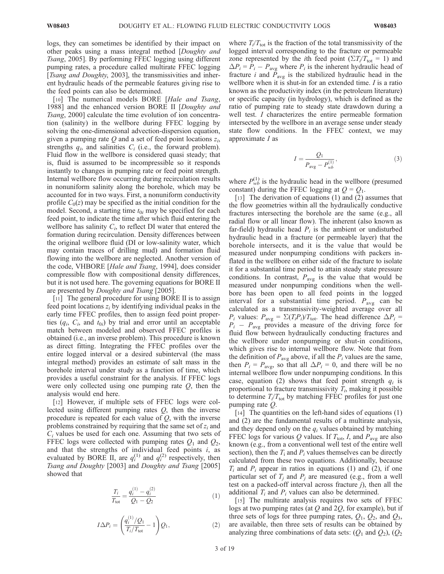logs, they can sometimes be identified by their impact on other peaks using a mass integral method [Doughty and Tsang, 2005]. By performing FFEC logging using different pumping rates, a procedure called multirate FFEC logging [Tsang and Doughty, 2003], the transmissivities and inherent hydraulic heads of the permeable features giving rise to the feed points can also be determined.

[10] The numerical models BORE [Hale and Tsang, 1988] and the enhanced version BORE II [Doughty and Tsang, 2000] calculate the time evolution of ion concentration (salinity) in the wellbore during FFEC logging by solving the one-dimensional advection-dispersion equation, given a pumping rate  $Q$  and a set of feed point locations  $z_i$ , strengths  $q_i$ , and salinities  $C_i$  (i.e., the forward problem). Fluid flow in the wellbore is considered quasi steady; that is, fluid is assumed to be incompressible so it responds instantly to changes in pumping rate or feed point strength. Internal wellbore flow occurring during recirculation results in nonuniform salinity along the borehole, which may be accounted for in two ways. First, a nonuniform conductivity profile  $C_0(z)$  may be specified as the initial condition for the model. Second, a starting time  $t_{0i}$  may be specified for each feed point, to indicate the time after which fluid entering the wellbore has salinity  $C_i$ , to reflect DI water that entered the formation during recirculation. Density differences between the original wellbore fluid (DI or low-salinity water, which may contain traces of drilling mud) and formation fluid flowing into the wellbore are neglected. Another version of the code, VHBORE [Hale and Tsang, 1994], does consider compressible flow with compositional density differences, but it is not used here. The governing equations for BORE II are presented by *Doughty and Tsang* [2005].

[11] The general procedure for using BORE II is to assign feed point locations  $z_i$  by identifying individual peaks in the early time FFEC profiles, then to assign feed point properties  $(q_i, C_i, \text{ and } t_{0i})$  by trial and error until an acceptable match between modeled and observed FFEC profiles is obtained (i.e., an inverse problem). This procedure is known as direct fitting. Integrating the FFEC profiles over the entire logged interval or a desired subinterval (the mass integral method) provides an estimate of salt mass in the borehole interval under study as a function of time, which provides a useful constraint for the analysis. If FFEC logs were only collected using one pumping rate  $Q$ , then the analysis would end here.

[12] However, if multiple sets of FFEC logs were collected using different pumping rates  $Q$ , then the inverse procedure is repeated for each value of  $Q$ , with the inverse problems constrained by requiring that the same set of  $z_i$  and  $C<sub>i</sub>$  values be used for each one. Assuming that two sets of FFEC logs were collected with pumping rates  $Q_1$  and  $Q_2$ , and that the strengths of individual feed points  $i$ , as evaluated by BORE II, are  $q_i^{(1)}$  and  $q_i^{(2)}$  respectively, then Tsang and Doughty [2003] and Doughty and Tsang [2005] showed that

$$
\frac{T_i}{T_{\text{tot}}} = \frac{q_i^{(1)} - q_i^{(2)}}{Q_1 - Q_2} \tag{1}
$$

$$
I\Delta P_i = \left(\frac{q_i^{(1)}/Q_1}{T_i/T_{\text{tot}}} - 1\right)Q_1,\tag{2}
$$

where  $T_i/T_{tot}$  is the fraction of the total transmissivity of the logged interval corresponding to the fracture or permeable zone represented by the *i*th feed point ( $\Sigma T_i/T_{\text{tot}} = 1$ ) and  $\Delta P_i = P_i - P_{avg}$  where  $P_i$  is the inherent hydraulic head of fracture *i* and  $\bar{P}_{\text{avg}}$  is the stabilized hydraulic head in the wellbore when it is shut-in for an extended time. *I* is a ratio known as the productivity index (in the petroleum literature) or specific capacity (in hydrology), which is defined as the ratio of pumping rate to steady state drawdown during a well test. I characterizes the entire permeable formation intersected by the wellbore in an average sense under steady state flow conditions. In the FFEC context, we may approximate  $I$  as

$$
I = \frac{Q_1}{P_{\text{avg}} - P_{wb}^{(1)}},\tag{3}
$$

where  $P_{wb}^{(1)}$  is the hydraulic head in the wellbore (presumed constant) during the FFEC logging at  $Q = Q_1$ .

[13] The derivation of equations (1) and (2) assumes that the flow geometries within all the hydraulically conductive fractures intersecting the borehole are the same (e.g., all radial flow or all linear flow). The inherent (also known as far-field) hydraulic head  $P_i$  is the ambient or undisturbed hydraulic head in a fracture (or permeable layer) that the borehole intersects, and it is the value that would be measured under nonpumping conditions with packers inflated in the wellbore on either side of the fracture to isolate it for a substantial time period to attain steady state pressure conditions. In contrast,  $P_{\text{avg}}$  is the value that would be measured under nonpumping conditions when the wellbore has been open to all feed points in the logged interval for a substantial time period.  $P_{\text{avg}}$  can be calculated as a transmissivity-weighted average over all  $P_i$  values:  $P_{\text{avg}} = \sum (T_i P_i) / T_{\text{tot}}$ . The head difference  $\Delta P_i$  =  $P_i - P_{\text{avg}}$  provides a measure of the driving force for fluid flow between hydraulically conducting fractures and the wellbore under nonpumping or shut-in conditions, which gives rise to internal wellbore flow. Note that from the definition of  $P_{\text{avg}}$  above, if all the  $P_i$  values are the same, then  $P_i = P_{\text{avg}}$ , so that all  $\Delta P_i = 0$ , and there will be no internal wellbore flow under nonpumping conditions. In this case, equation (2) shows that feed point strength  $q_i$  is proportional to fracture transmissivity  $T_i$ , making it possible to determine  $T_i/T_{\text{tot}}$  by matching FFEC profiles for just one pumping rate Q.

[14] The quantities on the left-hand sides of equations (1) and (2) are the fundamental results of a multirate analysis, and they depend only on the  $q_i$  values obtained by matching FFEC logs for various Q values. If  $T_{\text{tot}}$ , I, and  $P_{\text{avg}}$  are also known (e.g., from a conventional well test of the entire well section), then the  $T_i$  and  $P_i$  values themselves can be directly calculated from these two equations. Additionally, because  $T_i$  and  $P_i$  appear in ratios in equations (1) and (2), if one particular set of  $T_i$  and  $P_i$  are measured (e.g., from a well test on a packed-off interval across fracture  $j$ ), then all the additional  $T_i$  and  $P_i$  values can also be determined.

[15] The multirate analysis requires two sets of FFEC logs at two pumping rates (at  $Q$  and 2 $Q$ , for example), but if three sets of logs for three pumping rates,  $Q_1$ ,  $Q_2$ , and  $Q_3$ , are available, then three sets of results can be obtained by analyzing three combinations of data sets:  $(Q_1 \text{ and } Q_2)$ ,  $(Q_2 \text{)}$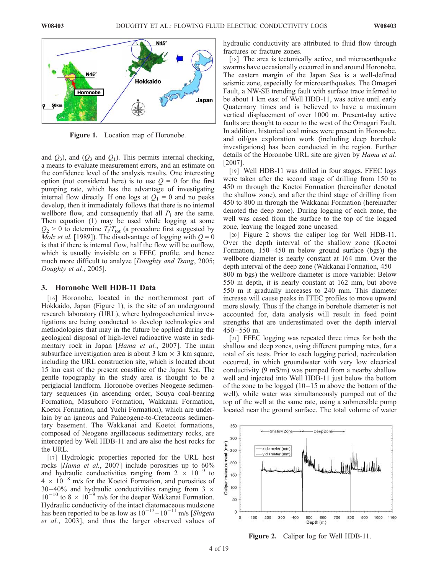

Figure 1. Location map of Horonobe.

and  $Q_3$ ), and  $(Q_3$  and  $Q_1$ ). This permits internal checking, a means to evaluate measurement errors, and an estimate on the confidence level of the analysis results. One interesting option (not considered here) is to use  $Q = 0$  for the first pumping rate, which has the advantage of investigating internal flow directly. If one logs at  $Q_1 = 0$  and no peaks develop, then it immediately follows that there is no internal wellbore flow, and consequently that all  $P_i$  are the same. Then equation (1) may be used while logging at some  $Q_2 > 0$  to determine  $T_i/T_{tot}$  (a procedure first suggested by *Molz et al.* [1989]). The disadvantage of logging with  $Q = 0$ is that if there is internal flow, half the flow will be outflow, which is usually invisible on a FFEC profile, and hence much more difficult to analyze [*Doughty and Tsang*, 2005; Doughty et al., 2005].

#### 3. Horonobe Well HDB-11 Data

[16] Horonobe, located in the northernmost part of Hokkaido, Japan (Figure 1), is the site of an underground research laboratory (URL), where hydrogeochemical investigations are being conducted to develop technologies and methodologies that may in the future be applied during the geological disposal of high-level radioactive waste in sedimentary rock in Japan [Hama et al., 2007]. The main subsurface investigation area is about 3 km  $\times$  3 km square, including the URL construction site, which is located about 15 km east of the present coastline of the Japan Sea. The gentle topography in the study area is thought to be a periglacial landform. Horonobe overlies Neogene sedimentary sequences (in ascending order, Souya coal-bearing Formation, Masuhoro Formation, Wakkanai Formation, Koetoi Formation, and Yuchi Formation), which are underlain by an igneous and Palaeogene-to-Cretaceous sedimentary basement. The Wakkanai and Koetoi formations, composed of Neogene argillaceous sedimentary rocks, are intercepted by Well HDB-11 and are also the host rocks for the URL.

[17] Hydrologic properties reported for the URL host rocks [Hama et al., 2007] include porosities up to 60% and hydraulic conductivities ranging from  $2 \times 10^{-9}$  to  $4 \times 10^{-8}$  m/s for the Koetoi Formation, and porosities of 30–40% and hydraulic conductivities ranging from 3  $\times$  $10^{-10}$  to  $8 \times 10^{-9}$  m/s for the deeper Wakkanai Formation. Hydraulic conductivity of the intact diatomaceous mudstone has been reported to be as low as  $10^{-13} - 10^{-11}$  m/s [Shigeta et al., 2003], and thus the larger observed values of hydraulic conductivity are attributed to fluid flow through fractures or fracture zones.

[18] The area is tectonically active, and microearthquake swarms have occasionally occurred in and around Horonobe. The eastern margin of the Japan Sea is a well-defined seismic zone, especially for microearthquakes. The Omagari Fault, a NW-SE trending fault with surface trace inferred to be about 1 km east of Well HDB-11, was active until early Quaternary times and is believed to have a maximum vertical displacement of over 1000 m. Present-day active faults are thought to occur to the west of the Omagari Fault. In addition, historical coal mines were present in Horonobe, and oil/gas exploration work (including deep borehole investigations) has been conducted in the region. Further details of the Horonobe URL site are given by Hama et al. [2007].

[19] Well HDB-11 was drilled in four stages. FFEC logs were taken after the second stage of drilling from 150 to 450 m through the Koetoi Formation (hereinafter denoted the shallow zone), and after the third stage of drilling from 450 to 800 m through the Wakkanai Formation (hereinafter denoted the deep zone). During logging of each zone, the well was cased from the surface to the top of the logged zone, leaving the logged zone uncased.

[20] Figure 2 shows the caliper log for Well HDB-11. Over the depth interval of the shallow zone (Koetoi Formation,  $150 - 450$  m below ground surface (bgs)) the wellbore diameter is nearly constant at 164 mm. Over the depth interval of the deep zone (Wakkanai Formation, 450– 800 m bgs) the wellbore diameter is more variable: Below 550 m depth, it is nearly constant at 162 mm, but above 550 m it gradually increases to 240 mm. This diameter increase will cause peaks in FFEC profiles to move upward more slowly. Thus if the change in borehole diameter is not accounted for, data analysis will result in feed point strengths that are underestimated over the depth interval  $450 - 550$  m.

[21] FFEC logging was repeated three times for both the shallow and deep zones, using different pumping rates, for a total of six tests. Prior to each logging period, recirculation occurred, in which groundwater with very low electrical conductivity (9 mS/m) was pumped from a nearby shallow well and injected into Well HDB-11 just below the bottom of the zone to be logged  $(10-15 \text{ m}$  above the bottom of the well), while water was simultaneously pumped out of the top of the well at the same rate, using a submersible pump located near the ground surface. The total volume of water



Figure 2. Caliper log for Well HDB-11.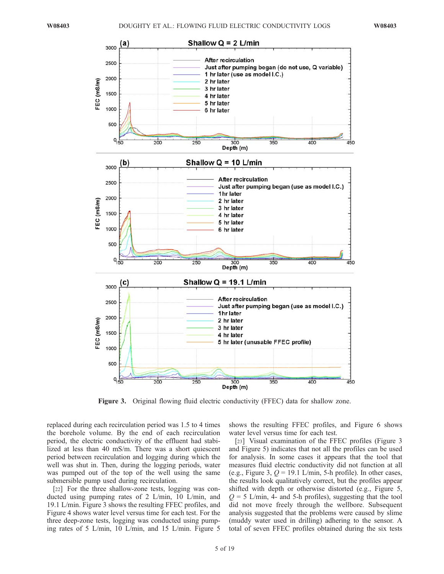

Figure 3. Original flowing fluid electric conductivity (FFEC) data for shallow zone.

replaced during each recirculation period was 1.5 to 4 times the borehole volume. By the end of each recirculation period, the electric conductivity of the effluent had stabilized at less than 40 mS/m. There was a short quiescent period between recirculation and logging during which the well was shut in. Then, during the logging periods, water was pumped out of the top of the well using the same submersible pump used during recirculation.

[22] For the three shallow-zone tests, logging was conducted using pumping rates of 2 L/min, 10 L/min, and 19.1 L/min. Figure 3 shows the resulting FFEC profiles, and Figure 4 shows water level versus time for each test. For the three deep-zone tests, logging was conducted using pumping rates of 5 L/min, 10 L/min, and 15 L/min. Figure 5 shows the resulting FFEC profiles, and Figure 6 shows water level versus time for each test.

[23] Visual examination of the FFEC profiles (Figure 3 and Figure 5) indicates that not all the profiles can be used for analysis. In some cases it appears that the tool that measures fluid electric conductivity did not function at all (e.g., Figure 3,  $Q = 19.1$  L/min, 5-h profile). In other cases, the results look qualitatively correct, but the profiles appear shifted with depth or otherwise distorted (e.g., Figure 5,  $Q = 5$  L/min, 4- and 5-h profiles), suggesting that the tool did not move freely through the wellbore. Subsequent analysis suggested that the problems were caused by slime (muddy water used in drilling) adhering to the sensor. A total of seven FFEC profiles obtained during the six tests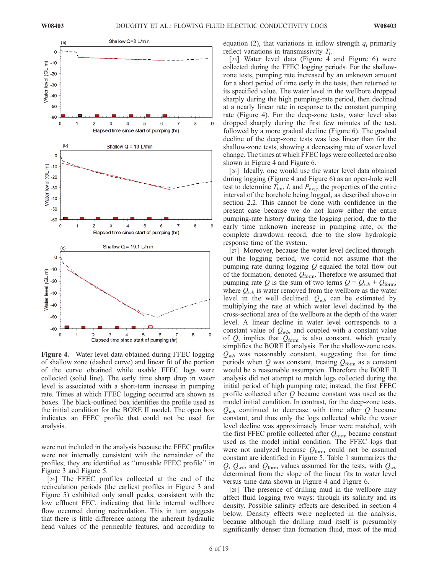

Figure 4. Water level data obtained during FFEC logging of shallow zone (dashed curve) and linear fit of the portion of the curve obtained while usable FFEC logs were collected (solid line). The early time sharp drop in water level is associated with a short-term increase in pumping rate. Times at which FFEC logging occurred are shown as boxes. The black-outlined box identifies the profile used as the initial condition for the BORE II model. The open box indicates an FFEC profile that could not be used for analysis.

were not included in the analysis because the FFEC profiles were not internally consistent with the remainder of the profiles; they are identified as ''unusable FFEC profile'' in Figure 3 and Figure 5.

[24] The FFEC profiles collected at the end of the recirculation periods (the earliest profiles in Figure 3 and Figure 5) exhibited only small peaks, consistent with the low effluent FEC, indicating that little internal wellbore flow occurred during recirculation. This in turn suggests that there is little difference among the inherent hydraulic head values of the permeable features, and according to equation (2), that variations in inflow strength  $q_i$  primarily reflect variations in transmissivity  $T_i$ .

[25] Water level data (Figure 4 and Figure 6) were collected during the FFEC logging periods. For the shallowzone tests, pumping rate increased by an unknown amount for a short period of time early in the tests, then returned to its specified value. The water level in the wellbore dropped sharply during the high pumping-rate period, then declined at a nearly linear rate in response to the constant pumping rate (Figure 4). For the deep-zone tests, water level also dropped sharply during the first few minutes of the test, followed by a more gradual decline (Figure 6). The gradual decline of the deep-zone tests was less linear than for the shallow-zone tests, showing a decreasing rate of water level change. The times at which FFEC logs were collected are also shown in Figure 4 and Figure 6.

[26] Ideally, one would use the water level data obtained during logging (Figure 4 and Figure 6) as an open-hole well test to determine  $T_{\text{tot}}$ , I, and  $P_{\text{avg}}$ , the properties of the entire interval of the borehole being logged, as described above in section 2.2. This cannot be done with confidence in the present case because we do not know either the entire pumping-rate history during the logging period, due to the early time unknown increase in pumping rate, or the complete drawdown record, due to the slow hydrologic response time of the system.

[27] Moreover, because the water level declined throughout the logging period, we could not assume that the pumping rate during logging  $Q$  equaled the total flow out of the formation, denoted  $Q_{\text{form}}$ . Therefore we assumed that pumping rate Q is the sum of two terms  $Q = Q_{wb} + Q_{form}$ , where  $Q_{wb}$  is water removed from the wellbore as the water level in the well declined.  $Q_{wb}$  can be estimated by multiplying the rate at which water level declined by the cross-sectional area of the wellbore at the depth of the water level. A linear decline in water level corresponds to a constant value of  $Q_{wb}$ , and coupled with a constant value of  $Q$ , implies that  $Q_{\text{form}}$  is also constant, which greatly simplifies the BORE II analysis. For the shallow-zone tests,  $Q_{wb}$  was reasonably constant, suggesting that for time periods when  $Q$  was constant, treating  $Q_{\text{form}}$  as a constant would be a reasonable assumption. Therefore the BORE II analysis did not attempt to match logs collected during the initial period of high pumping rate; instead, the first FFEC profile collected after  $Q$  became constant was used as the model initial condition. In contrast, for the deep-zone tests,  $Q_{wb}$  continued to decrease with time after Q became constant, and thus only the logs collected while the water level decline was approximately linear were matched, with the first FFEC profile collected after  $Q_{\text{form}}$  became constant used as the model initial condition. The FFEC logs that were not analyzed because  $Q_{\text{form}}$  could not be assumed constant are identified in Figure 5. Table 1 summarizes the Q,  $Q_{wb}$ , and  $Q_{form}$  values assumed for the tests, with  $Q_{wb}$ determined from the slope of the linear fits to water level versus time data shown in Figure 4 and Figure 6.

[28] The presence of drilling mud in the wellbore may affect fluid logging two ways: through its salinity and its density. Possible salinity effects are described in section 4 below. Density effects were neglected in the analysis, because although the drilling mud itself is presumably significantly denser than formation fluid, most of the mud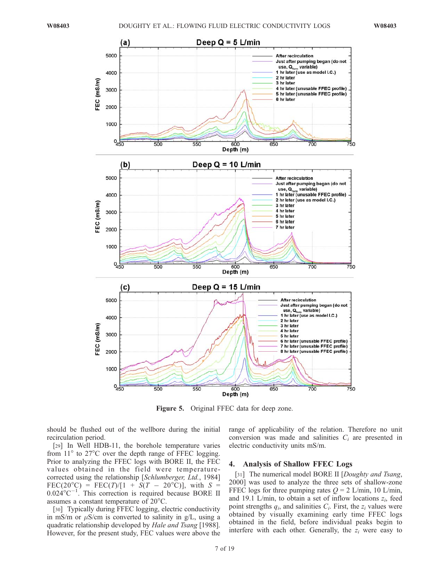

Figure 5. Original FFEC data for deep zone.

should be flushed out of the wellbore during the initial recirculation period.

[29] In Well HDB-11, the borehole temperature varies from  $11^{\circ}$  to  $27^{\circ}$ C over the depth range of FFEC logging. Prior to analyzing the FFEC logs with BORE II, the FEC values obtained in the field were temperaturecorrected using the relationship [Schlumberger, Ltd., 1984] FEC(20<sup>o</sup>C) = FEC(T)/[1 + S(T - 20<sup>o</sup>C)], with S =  $0.024^{\circ}$ C<sup>-1</sup>. This correction is required because BORE II assumes a constant temperature of  $20^{\circ}$ C.

[30] Typically during FFEC logging, electric conductivity in mS/m or  $\mu$ S/cm is converted to salinity in g/L, using a quadratic relationship developed by Hale and Tsang [1988]. However, for the present study, FEC values were above the range of applicability of the relation. Therefore no unit conversion was made and salinities  $C_i$  are presented in electric conductivity units mS/m.

#### 4. Analysis of Shallow FFEC Logs

[31] The numerical model BORE II [Doughty and Tsang, 2000] was used to analyze the three sets of shallow-zone FFEC logs for three pumping rates  $Q = 2$  L/min, 10 L/min, and 19.1 L/min, to obtain a set of inflow locations  $z_i$ , feed point strengths  $q_i$ , and salinities  $C_i$ . First, the  $z_i$  values were obtained by visually examining early time FFEC logs obtained in the field, before individual peaks begin to interfere with each other. Generally, the  $z_i$  were easy to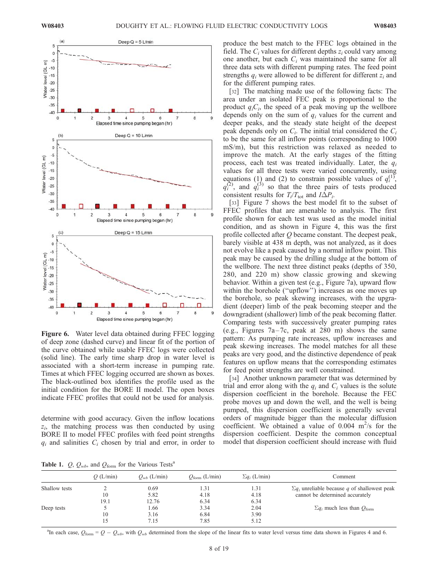

Figure 6. Water level data obtained during FFEC logging of deep zone (dashed curve) and linear fit of the portion of the curve obtained while usable FFEC logs were collected (solid line). The early time sharp drop in water level is associated with a short-term increase in pumping rate. Times at which FFEC logging occurred are shown as boxes. The black-outlined box identifies the profile used as the initial condition for the BORE II model. The open boxes indicate FFEC profiles that could not be used for analysis.

determine with good accuracy. Given the inflow locations  $z_i$ , the matching process was then conducted by using BORE II to model FFEC profiles with feed point strengths  $q_i$  and salinities  $C_i$  chosen by trial and error, in order to

produce the best match to the FFEC logs obtained in the field. The  $C_i$  values for different depths  $z_i$  could vary among one another, but each  $C_i$  was maintained the same for all three data sets with different pumping rates. The feed point strengths  $q_i$  were allowed to be different for different  $z_i$  and for the different pumping rates.

[32] The matching made use of the following facts: The area under an isolated FEC peak is proportional to the product  $q_iC_i$ , the speed of a peak moving up the wellbore depends only on the sum of  $q_i$  values for the current and deeper peaks, and the steady state height of the deepest peak depends only on  $C_i$ . The initial trial considered the  $C_i$ to be the same for all inflow points (corresponding to 1000 mS/m), but this restriction was relaxed as needed to improve the match. At the early stages of the fitting process, each test was treated individually. Later, the  $q_i$ values for all three tests were varied concurrently, using equations (1) and (2) to constrain possible values of  $q_i^{(1)}$ ,  $q_i^{(2)}$ , and  $q_i^{(3)}$  so that the three pairs of tests produced consistent results for  $T_i/T_{\text{tot}}$  and  $I\Delta P_i$ .

[33] Figure 7 shows the best model fit to the subset of FFEC profiles that are amenable to analysis. The first profile shown for each test was used as the model initial condition, and as shown in Figure 4, this was the first profile collected after  $Q$  became constant. The deepest peak, barely visible at 438 m depth, was not analyzed, as it does not evolve like a peak caused by a normal inflow point. This peak may be caused by the drilling sludge at the bottom of the wellbore. The next three distinct peaks (depths of 350, 280, and 220 m) show classic growing and skewing behavior. Within a given test (e.g., Figure 7a), upward flow within the borehole (''upflow'') increases as one moves up the borehole, so peak skewing increases, with the upgradient (deeper) limb of the peak becoming steeper and the downgradient (shallower) limb of the peak becoming flatter. Comparing tests with successively greater pumping rates (e.g., Figures  $7a-7c$ , peak at 280 m) shows the same pattern: As pumping rate increases, upflow increases and peak skewing increases. The model matches for all these peaks are very good, and the distinctive dependence of peak features on upflow means that the corresponding estimates for feed point strengths are well constrained.

[34] Another unknown parameter that was determined by trial and error along with the  $q_i$  and  $C_i$  values is the solute dispersion coefficient in the borehole. Because the FEC probe moves up and down the well, and the well is being pumped, this dispersion coefficient is generally several orders of magnitude bigger than the molecular diffusion coefficient. We obtained a value of  $0.004 \text{ m}^2/\text{s}$  for the dispersion coefficient. Despite the common conceptual model that dispersion coefficient should increase with fluid

**Table 1.** *O*,  $O_{wh}$ , and  $O_{form}$  for the Various Tests<sup>a</sup>

| $\mathcal{L}$ , $\mathcal{L}$ WD, we get $\mathcal{L}$ 101111 $\mathcal{L}$ and $\mathcal{L}$ are an extended to $\mathcal{L}$ |          |                  |                           |                      |                                                      |  |
|--------------------------------------------------------------------------------------------------------------------------------|----------|------------------|---------------------------|----------------------|------------------------------------------------------|--|
|                                                                                                                                | O(L/min) | $O_{wb}$ (L/min) | $Q_{\text{form}}$ (L/min) | $\Sigma q_i$ (L/min) | Comment                                              |  |
| Shallow tests                                                                                                                  |          | 0.69             | 1.31                      | 1.31                 | $\Sigma q_i$ unreliable because q of shallowest peak |  |
|                                                                                                                                | 10       | 5.82             | 4.18                      | 4.18                 | cannot be determined accurately                      |  |
|                                                                                                                                | 19.1     | 12.76            | 6.34                      | 6.34                 |                                                      |  |
| Deep tests                                                                                                                     |          | 1.66             | 3.34                      | 2.04                 | $\sum q_i$ much less than $Q_{\text{form}}$          |  |
|                                                                                                                                | 10       | 3.16             | 6.84                      | 3.90                 |                                                      |  |
|                                                                                                                                | ί5       | 7.15             | 7.85                      | 5.12                 |                                                      |  |

<sup>a</sup>In each case,  $Q_{\text{form}} = Q - Q_{wb}$ , with  $Q_{wb}$  determined from the slope of the linear fits to water level versus time data shown in Figures 4 and 6.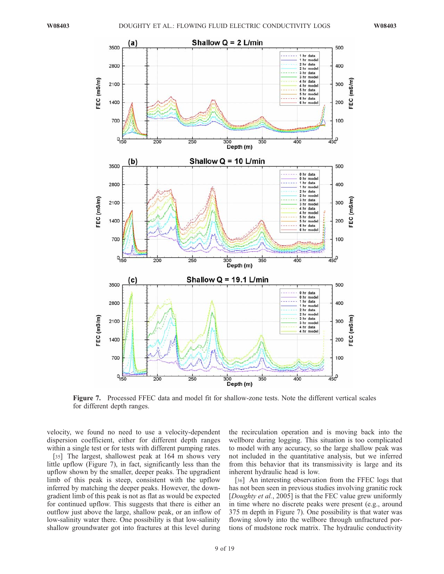

Figure 7. Processed FFEC data and model fit for shallow-zone tests. Note the different vertical scales for different depth ranges.

velocity, we found no need to use a velocity-dependent dispersion coefficient, either for different depth ranges within a single test or for tests with different pumping rates.

[35] The largest, shallowest peak at 164 m shows very little upflow (Figure 7), in fact, significantly less than the upflow shown by the smaller, deeper peaks. The upgradient limb of this peak is steep, consistent with the upflow inferred by matching the deeper peaks. However, the downgradient limb of this peak is not as flat as would be expected for continued upflow. This suggests that there is either an outflow just above the large, shallow peak, or an inflow of low-salinity water there. One possibility is that low-salinity shallow groundwater got into fractures at this level during

the recirculation operation and is moving back into the wellbore during logging. This situation is too complicated to model with any accuracy, so the large shallow peak was not included in the quantitative analysis, but we inferred from this behavior that its transmissivity is large and its inherent hydraulic head is low.

[36] An interesting observation from the FFEC logs that has not been seen in previous studies involving granitic rock [*Doughty et al.*, 2005] is that the FEC value grew uniformly in time where no discrete peaks were present (e.g., around 375 m depth in Figure 7). One possibility is that water was flowing slowly into the wellbore through unfractured portions of mudstone rock matrix. The hydraulic conductivity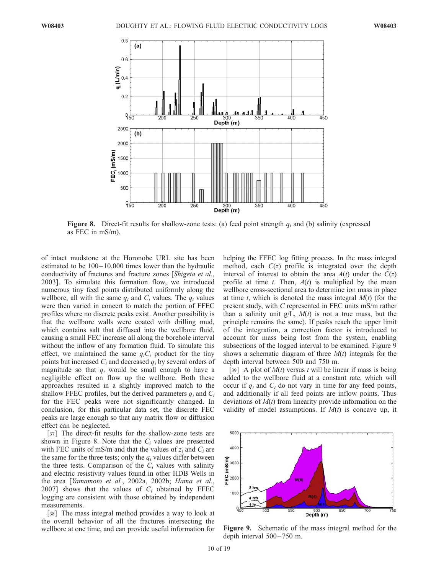

**Figure 8.** Direct-fit results for shallow-zone tests: (a) feed point strength  $q_i$  and (b) salinity (expressed as FEC in mS/m).

of intact mudstone at the Horonobe URL site has been estimated to be  $100-10,000$  times lower than the hydraulic conductivity of fractures and fracture zones [Shigeta et al., 2003]. To simulate this formation flow, we introduced numerous tiny feed points distributed uniformly along the wellbore, all with the same  $q_i$  and  $C_i$  values. The  $q_i$  values were then varied in concert to match the portion of FFEC profiles where no discrete peaks exist. Another possibility is that the wellbore walls were coated with drilling mud, which contains salt that diffused into the wellbore fluid, causing a small FEC increase all along the borehole interval without the inflow of any formation fluid. To simulate this effect, we maintained the same  $q_iC_i$  product for the tiny points but increased  $C_i$  and decreased  $q_i$  by several orders of magnitude so that  $q_i$  would be small enough to have a negligible effect on flow up the wellbore. Both these approaches resulted in a slightly improved match to the shallow FFEC profiles, but the derived parameters  $q_i$  and  $C_i$ for the FEC peaks were not significantly changed. In conclusion, for this particular data set, the discrete FEC peaks are large enough so that any matrix flow or diffusion effect can be neglected.

[37] The direct-fit results for the shallow-zone tests are shown in Figure 8. Note that the  $C_i$  values are presented with FEC units of mS/m and that the values of  $z_i$  and  $C_i$  are the same for the three tests; only the  $q_i$  values differ between the three tests. Comparison of the  $C<sub>i</sub>$  values with salinity and electric resistivity values found in other HDB Wells in the area [Yamamoto et al., 2002a, 2002b; Hama et al., 2007] shows that the values of  $C_i$  obtained by FFEC logging are consistent with those obtained by independent measurements.

[38] The mass integral method provides a way to look at the overall behavior of all the fractures intersecting the wellbore at one time, and can provide useful information for

helping the FFEC log fitting process. In the mass integral method, each  $C(z)$  profile is integrated over the depth interval of interest to obtain the area  $A(t)$  under the  $C(z)$ profile at time t. Then,  $A(t)$  is multiplied by the mean wellbore cross-sectional area to determine ion mass in place at time t, which is denoted the mass integral  $M(t)$  (for the present study, with C represented in FEC units mS/m rather than a salinity unit  $g/L$ ,  $M(t)$  is not a true mass, but the principle remains the same). If peaks reach the upper limit of the integration, a correction factor is introduced to account for mass being lost from the system, enabling subsections of the logged interval to be examined. Figure 9 shows a schematic diagram of three  $M(t)$  integrals for the depth interval between 500 and 750 m.

[39] A plot of  $M(t)$  versus t will be linear if mass is being added to the wellbore fluid at a constant rate, which will occur if  $q_i$  and  $C_i$  do not vary in time for any feed points, and additionally if all feed points are inflow points. Thus deviations of  $M(t)$  from linearity provide information on the validity of model assumptions. If  $M(t)$  is concave up, it



Figure 9. Schematic of the mass integral method for the depth interval  $500 - 750$  m.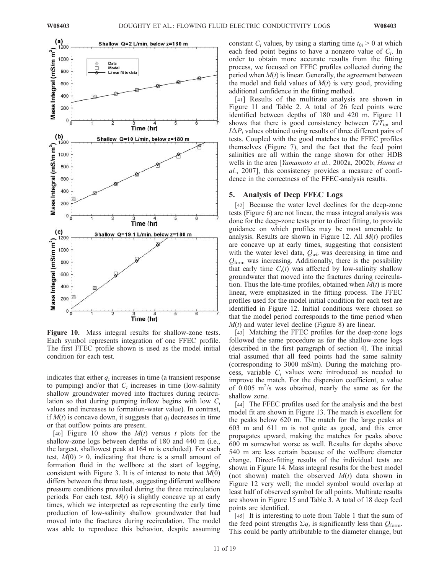

Figure 10. Mass integral results for shallow-zone tests. Each symbol represents integration of one FFEC profile. The first FFEC profile shown is used as the model initial condition for each test.

indicates that either  $q_i$  increases in time (a transient response to pumping) and/or that  $C_i$  increases in time (low-salinity shallow groundwater moved into fractures during recirculation so that during pumping inflow begins with low  $C_i$ values and increases to formation-water value). In contrast, if  $M(t)$  is concave down, it suggests that  $q_i$  decreases in time or that outflow points are present.

[40] Figure 10 show the  $M(t)$  versus t plots for the shallow-zone logs between depths of 180 and 440 m (i.e., the largest, shallowest peak at 164 m is excluded). For each test,  $M(0) > 0$ , indicating that there is a small amount of formation fluid in the wellbore at the start of logging, consistent with Figure 3. It is of interest to note that  $M(0)$ differs between the three tests, suggesting different wellbore pressure conditions prevailed during the three recirculation periods. For each test,  $M(t)$  is slightly concave up at early times, which we interpreted as representing the early time production of low-salinity shallow groundwater that had moved into the fractures during recirculation. The model was able to reproduce this behavior, despite assuming

constant  $C_i$  values, by using a starting time  $t_{0i} > 0$  at which each feed point begins to have a nonzero value of  $C_i$ . In order to obtain more accurate results from the fitting process, we focused on FFEC profiles collected during the period when  $M(t)$  is linear. Generally, the agreement between the model and field values of  $M(t)$  is very good, providing additional confidence in the fitting method.

[41] Results of the multirate analysis are shown in Figure 11 and Table 2. A total of 26 feed points were identified between depths of 180 and 420 m. Figure 11 shows that there is good consistency between  $T_i/T_{tot}$  and  $I\Delta P_i$  values obtained using results of three different pairs of tests. Coupled with the good matches to the FFEC profiles themselves (Figure 7), and the fact that the feed point salinities are all within the range shown for other HDB wells in the area [Yamamoto et al., 2002a, 2002b; Hama et al., 2007], this consistency provides a measure of confidence in the correctness of the FFEC-analysis results.

#### 5. Analysis of Deep FFEC Logs

[42] Because the water level declines for the deep-zone tests (Figure 6) are not linear, the mass integral analysis was done for the deep-zone tests prior to direct fitting, to provide guidance on which profiles may be most amenable to analysis. Results are shown in Figure 12. All  $M(t)$  profiles are concave up at early times, suggesting that consistent with the water level data,  $Q_{wb}$  was decreasing in time and  $Q_{\text{form}}$  was increasing. Additionally, there is the possibility that early time  $C_i(t)$  was affected by low-salinity shallow groundwater that moved into the fractures during recirculation. Thus the late-time profiles, obtained when  $M(t)$  is more linear, were emphasized in the fitting process. The FFEC profiles used for the model initial condition for each test are identified in Figure 12. Initial conditions were chosen so that the model period corresponds to the time period when  $M(t)$  and water level decline (Figure 8) are linear.

[43] Matching the FFEC profiles for the deep-zone logs followed the same procedure as for the shallow-zone logs (described in the first paragraph of section 4). The initial trial assumed that all feed points had the same salinity (corresponding to 3000 mS/m). During the matching process, variable  $C_i$  values were introduced as needed to improve the match. For the dispersion coefficient, a value of  $0.005$  m<sup>2</sup>/s was obtained, nearly the same as for the shallow zone.

[44] The FFEC profiles used for the analysis and the best model fit are shown in Figure 13. The match is excellent for the peaks below 620 m. The match for the large peaks at 603 m and 611 m is not quite as good, and this error propagates upward, making the matches for peaks above 600 m somewhat worse as well. Results for depths above 540 m are less certain because of the wellbore diameter change. Direct-fitting results of the individual tests are shown in Figure 14. Mass integral results for the best model (not shown) match the observed  $M(t)$  data shown in Figure 12 very well; the model symbol would overlap at least half of observed symbol for all points. Multirate results are shown in Figure 15 and Table 3. A total of 18 deep feed points are identified.

[45] It is interesting to note from Table 1 that the sum of the feed point strengths  $\Sigma q_i$  is significantly less than  $Q_{\text{form}}$ . This could be partly attributable to the diameter change, but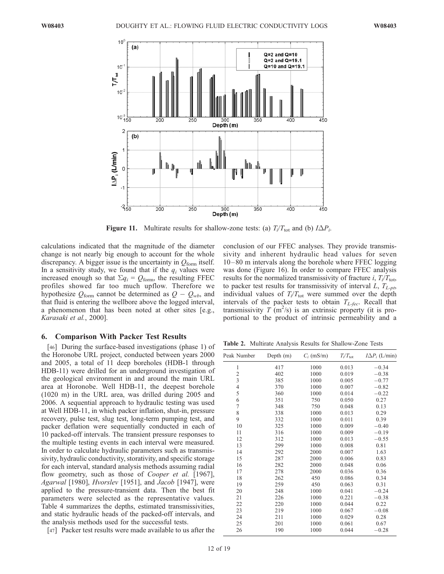

**Figure 11.** Multirate results for shallow-zone tests: (a)  $T_i/T_{tot}$  and (b)  $I\Delta P_i$ .

calculations indicated that the magnitude of the diameter change is not nearly big enough to account for the whole discrepancy. A bigger issue is the uncertainty in  $Q_{\text{form}}$  itself. In a sensitivity study, we found that if the  $q_i$  values were increased enough so that  $\Sigma q_i = Q_{\text{form}}$ , the resulting FFEC profiles showed far too much upflow. Therefore we hypothesize  $Q_{\text{form}}$  cannot be determined as  $Q - Q_{wb}$ , and that fluid is entering the wellbore above the logged interval, a phenomenon that has been noted at other sites [e.g., Karasaki et al., 2000].

#### 6. Comparison With Packer Test Results

[46] During the surface-based investigations (phase 1) of the Horonobe URL project, conducted between years 2000 and 2005, a total of 11 deep boreholes (HDB-1 through HDB-11) were drilled for an underground investigation of the geological environment in and around the main URL area at Horonobe. Well HDB-11, the deepest borehole (1020 m) in the URL area, was drilled during 2005 and 2006. A sequential approach to hydraulic testing was used at Well HDB-11, in which packer inflation, shut-in, pressure recovery, pulse test, slug test, long-term pumping test, and packer deflation were sequentially conducted in each of 10 packed-off intervals. The transient pressure responses to the multiple testing events in each interval were measured. In order to calculate hydraulic parameters such as transmissivity, hydraulic conductivity, storativity, and specific storage for each interval, standard analysis methods assuming radial flow geometry, such as those of *Cooper et al.* [1967], Agarwal [1980], Hvorslev [1951], and Jacob [1947], were applied to the pressure-transient data. Then the best fit parameters were selected as the representative values. Table 4 summarizes the depths, estimated transmissivities, and static hydraulic heads of the packed-off intervals, and the analysis methods used for the successful tests.

[47] Packer test results were made available to us after the

conclusion of our FFEC analyses. They provide transmissivity and inherent hydraulic head values for seven 10 –80 m intervals along the borehole where FFEC logging was done (Figure 16). In order to compare FFEC analysis results for the normalized transmissivity of fracture *i*,  $T_i/T_{\text{tot}}$ , to packer test results for transmissivity of interval  $L, T_{L-pt}$ , individual values of  $T_i/T_{\text{tot}}$  were summed over the depth intervals of the packer tests to obtain  $T_{L-free}$ . Recall that transmissivity  $T(m^2/s)$  is an extrinsic property (it is proportional to the product of intrinsic permeability and a

Table 2. Multirate Analysis Results for Shallow-Zone Tests

| Peak Number    | Depth $(m)$ | $C_i$ (mS/m) | $T_i/T_{\rm tot}$ | $I\Delta P_i$ (L/min) |
|----------------|-------------|--------------|-------------------|-----------------------|
| 1              | 417         | 1000         | 0.013             | $-0.34$               |
| $\overline{c}$ | 402         | 1000         | 0.019             | $-0.38$               |
| 3              | 385         | 1000         | 0.005             | $-0.77$               |
| $\overline{4}$ | 370         | 1000         | 0.007             | $-0.82$               |
| 5              | 360         | 1000         | 0.014             | $-0.22$               |
| 6              | 351         | 750          | 0.050             | 0.27                  |
| $\overline{7}$ | 348         | 750          | 0.048             | 0.13                  |
| 8              | 338         | 1000         | 0.013             | 0.29                  |
| 9              | 332         | 1000         | 0.011             | 0.39                  |
| 10             | 325         | 1000         | 0.009             | $-0.40$               |
| 11             | 316         | 1000         | 0.009             | $-0.19$               |
| 12             | 312         | 1000         | 0.013             | $-0.55$               |
| 13             | 299         | 1000         | 0.008             | 0.81                  |
| 14             | 292         | 2000         | 0.007             | 1.63                  |
| 15             | 287         | 2000         | 0.006             | 0.83                  |
| 16             | 282         | 2000         | 0.048             | 0.06                  |
| 17             | 278         | 2000         | 0.036             | 0.36                  |
| 18             | 262         | 450          | 0.086             | 0.34                  |
| 19             | 259         | 450          | 0.063             | 0.31                  |
| 20             | 248         | 1000         | 0.041             | $-0.24$               |
| 21             | 226         | 1000         | 0.221             | $-0.38$               |
| 22             | 220         | 1000         | 0.044             | 0.22                  |
| 23             | 219         | 1000         | 0.067             | $-0.08$               |
| 24             | 211         | 1000         | 0.029             | 0.28                  |
| 25             | 201         | 1000         | 0.061             | 0.67                  |
| 26             | 190         | 1000         | 0.044             | $-0.28$               |
|                |             |              |                   |                       |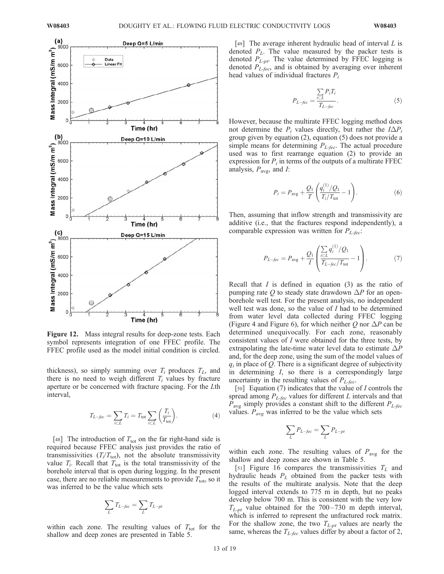

Figure 12. Mass integral results for deep-zone tests. Each symbol represents integration of one FFEC profile. The FFEC profile used as the model initial condition is circled.

thickness), so simply summing over  $T_i$  produces  $T_i$ , and there is no need to weigh different  $T_i$  values by fracture aperture or be concerned with fracture spacing. For the Lth interval,

$$
T_{L-\text{fcc}} = \sum_{i \subset L} T_i = T_{\text{tot}} \sum_{i \subset L} \left( \frac{T_i}{T_{\text{tot}}} \right). \tag{4}
$$

[48] The introduction of  $T_{\text{tot}}$  on the far right-hand side is required because FFEC analysis just provides the ratio of transmissivities  $(T_i/T_{\text{tot}})$ , not the absolute transmissivity value  $T_i$ . Recall that  $T_{tot}$  is the total transmissivity of the borehole interval that is open during logging. In the present case, there are no reliable measurements to provide  $T_{\text{tot}}$ , so it was inferred to be the value which sets

$$
\sum_{L} T_{L-fcc} = \sum_{L} T_{L-pt}
$$

within each zone. The resulting values of  $T_{\text{tot}}$  for the shallow and deep zones are presented in Table 5.

[49] The average inherent hydraulic head of interval  $L$  is denoted  $P_L$ . The value measured by the packer tests is denoted  $P_{L-pt}$ . The value determined by FFEC logging is denoted  $P_{L-free}$ , and is obtained by averaging over inherent head values of individual fractures  $P_i$ 

$$
P_{L-fcc} = \frac{\sum_{i \subset L} P_i T_i}{T_{L-fcc}}.
$$
\n(5)

However, because the multirate FFEC logging method does not determine the  $P_i$  values directly, but rather the  $I\Delta P_i$ group given by equation (2), equation (5) does not provide a simple means for determining  $P_{L-fcc}$ . The actual procedure used was to first rearrange equation (2) to provide an expression for  $P_i$  in terms of the outputs of a multirate FFEC analysis,  $P_{\text{avg}}$ , and *I*:

$$
P_i = P_{\text{avg}} + \frac{Q_1}{T} \left( \frac{q_i^{(1)}/Q_1}{T_i/T_{\text{tot}}} - 1 \right). \tag{6}
$$

Then, assuming that inflow strength and transmissivity are additive (i.e., that the fractures respond independently), a comparable expression was written for  $P_{L-fcc}$ :

$$
P_{L-fcc} = P_{avg} + \frac{Q_1}{I} \left( \frac{\sum_{i \subset L} q_i^{(1)}/Q_1}{T_{L-fcc}/T_{tot}} - 1 \right).
$$
 (7)

Recall that  $I$  is defined in equation (3) as the ratio of pumping rate O to steady state drawdown  $\Delta P$  for an openborehole well test. For the present analysis, no independent well test was done, so the value of I had to be determined from water level data collected during FFEC logging (Figure 4 and Figure 6), for which neither Q nor  $\Delta P$  can be determined unequivocally. For each zone, reasonably consistent values of I were obtained for the three tests, by extrapolating the late-time water level data to estimate  $\Delta P$ and, for the deep zone, using the sum of the model values of  $q_i$  in place of Q. There is a significant degree of subjectivity in determining I, so there is a correspondingly large uncertainty in the resulting values of  $P_{L-free}$ .

[50] Equation (7) indicates that the value of *I* controls the spread among  $P_{L-fcc}$  values for different L intervals and that  $P_{\text{avg}}$  simply provides a constant shift to the different  $P_{L\text{-}fcc}$ values.  $P_{avg}$  was inferred to be the value which sets

$$
\sum_{L} P_{L-fcc} = \sum_{L} P_{L-pt}
$$

within each zone. The resulting values of  $P_{\text{avg}}$  for the shallow and deep zones are shown in Table 5.

[51] Figure 16 compares the transmissivities  $T_L$  and hydraulic heads  $P<sub>L</sub>$  obtained from the packer tests with the results of the multirate analysis. Note that the deep logged interval extends to 775 m in depth, but no peaks develop below 700 m. This is consistent with the very low  $T_{L-pt}$  value obtained for the 700-730 m depth interval, which is inferred to represent the unfractured rock matrix. For the shallow zone, the two  $T_{L-pt}$  values are nearly the same, whereas the  $T_{L-fcc}$  values differ by about a factor of 2,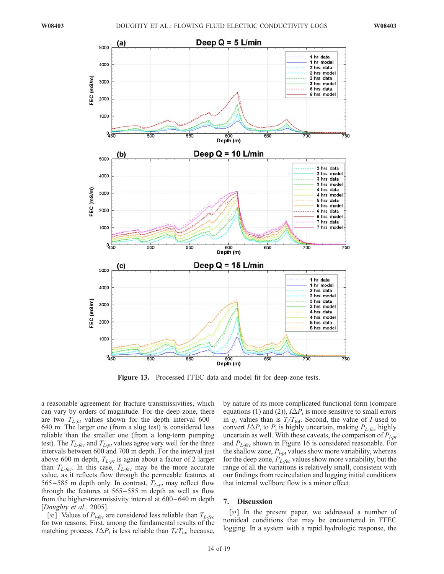

Figure 13. Processed FFEC data and model fit for deep-zone tests.

a reasonable agreement for fracture transmissivities, which can vary by orders of magnitude. For the deep zone, there are two  $T_{L-pt}$  values shown for the depth interval 600– 640 m. The larger one (from a slug test) is considered less reliable than the smaller one (from a long-term pumping test). The  $T_{L-free}$  and  $T_{L-pt}$  values agree very well for the three intervals between 600 and 700 m depth. For the interval just above 600 m depth,  $T_{L-pt}$  is again about a factor of 2 larger than  $T_{L-free}$ . In this case,  $T_{L-free}$  may be the more accurate value, as it reflects flow through the permeable features at 565–585 m depth only. In contrast,  $T_{L-nt}$  may reflect flow through the features at 565– 585 m depth as well as flow from the higher-transmissivity interval at  $600-640$  m depth [Doughty et al., 2005].

[52] Values of  $P_{i-fec}$  are considered less reliable than  $T_{L-fec}$ for two reasons. First, among the fundamental results of the matching process,  $I\Delta P_i$  is less reliable than  $T_i/T_{tot}$  because,

by nature of its more complicated functional form (compare equations (1) and (2)),  $I\Delta P_i$  is more sensitive to small errors in  $q_i$  values than is  $T_i/T_{\text{tot}}$ . Second, the value of I used to convert  $I\Delta P_i$  to  $P_i$  is highly uncertain, making  $P_{L-fcc}$  highly uncertain as well. With these caveats, the comparison of  $P_{l-pt}$ and  $P_{L-free}$  shown in Figure 16 is considered reasonable. For the shallow zone,  $P_{l-pt}$  values show more variability, whereas for the deep zone,  $P_{L-fec}$  values show more variability, but the range of all the variations is relatively small, consistent with our findings from recirculation and logging initial conditions that internal wellbore flow is a minor effect.

# 7. Discussion

[53] In the present paper, we addressed a number of nonideal conditions that may be encountered in FFEC logging. In a system with a rapid hydrologic response, the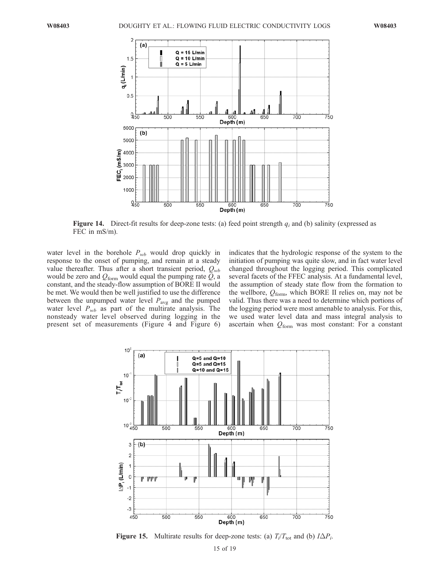

Figure 14. Direct-fit results for deep-zone tests: (a) feed point strength  $q_i$  and (b) salinity (expressed as FEC in mS/m).

water level in the borehole  $P_{wb}$  would drop quickly in response to the onset of pumping, and remain at a steady value thereafter. Thus after a short transient period,  $Q_{wb}$ would be zero and  $Q_{form}$  would equal the pumping rate  $Q$ , a constant, and the steady-flow assumption of BORE II would be met. We would then be well justified to use the difference between the unpumped water level  $P_{\text{avg}}$  and the pumped water level  $P_{wb}$  as part of the multirate analysis. The nonsteady water level observed during logging in the present set of measurements (Figure 4 and Figure 6)

indicates that the hydrologic response of the system to the initiation of pumping was quite slow, and in fact water level changed throughout the logging period. This complicated several facets of the FFEC analysis. At a fundamental level, the assumption of steady state flow from the formation to the wellbore,  $Q_{\text{form}}$ , which BORE II relies on, may not be valid. Thus there was a need to determine which portions of the logging period were most amenable to analysis. For this, we used water level data and mass integral analysis to ascertain when  $Q_{\text{form}}$  was most constant: For a constant



Figure 15. Multirate results for deep-zone tests: (a)  $T_i/T_{\text{tot}}$  and (b)  $I\Delta P_i$ .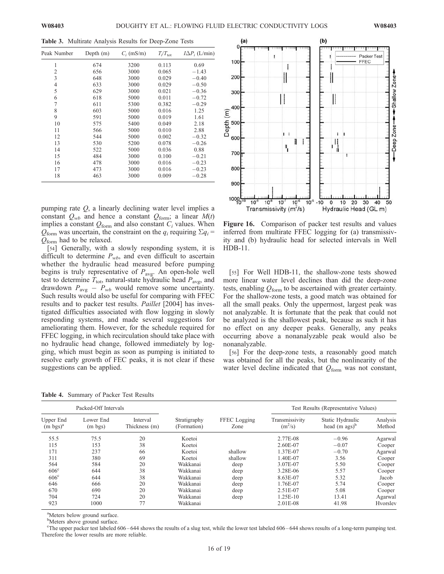Table 3. Multirate Analysis Results for Deep-Zone Tests

| Peak Number    | Depth $(m)$ | $C_i$ (mS/m) | $T_i/T_{\rm tot}$ | $I\Delta P_i$ (L/min) |
|----------------|-------------|--------------|-------------------|-----------------------|
| 1              | 674         | 3200         | 0.113             | 0.69                  |
| 2              | 656         | 3000         | 0.065             | $-1.43$               |
| 3              | 648         | 3000         | 0.029             | $-0.40$               |
| $\overline{4}$ | 633         | 3000         | 0.029             | $-0.50$               |
| 5              | 629         | 3000         | 0.021             | $-0.36$               |
| 6              | 618         | 5000         | 0.011             | $-0.72$               |
| 7              | 611         | 5300         | 0.382             | $-0.29$               |
| 8              | 603         | 5000         | 0.016             | 1.25                  |
| 9              | 591         | 5000         | 0.019             | 1.61                  |
| 10             | 575         | 5400         | 0.049             | 2.18                  |
| 11             | 566         | 5000         | 0.010             | 2.88                  |
| 12             | 544         | 5000         | 0.002             | $-0.32$               |
| 13             | 530         | 5200         | 0.078             | $-0.26$               |
| 14             | 522         | 5000         | 0.036             | 0.88                  |
| 15             | 484         | 3000         | 0.100             | $-0.21$               |
| 16             | 478         | 3000         | 0.016             | $-0.23$               |
| 17             | 473         | 3000         | 0.016             | $-0.23$               |
| 18             | 463         | 3000         | 0.009             | $-0.28$               |

pumping rate Q, a linearly declining water level implies a constant  $Q_{wb}$  and hence a constant  $Q_{form}$ ; a linear  $M(t)$ implies a constant  $Q_{\text{form}}$  and also constant  $C_i$  values. When  $Q_{\text{form}}$  was uncertain, the constraint on the  $q_i$  requiring  $\Sigma q_i =$  $Q_{\text{form}}$  had to be relaxed.

[54] Generally, with a slowly responding system, it is difficult to determine  $P_{wb}$ , and even difficult to ascertain whether the hydraulic head measured before pumping begins is truly representative of  $P_{\text{avg}}$ . An open-hole well test to determine  $T_{\text{tot}}$ , natural-state hydraulic head  $P_{\text{avg}}$ , and drawdown  $P_{\text{avg}} - P_{wb}$  would remove some uncertainty. Such results would also be useful for comparing with FFEC results and to packer test results. Paillet [2004] has investigated difficulties associated with flow logging in slowly responding systems, and made several suggestions for ameliorating them. However, for the schedule required for FFEC logging, in which recirculation should take place with no hydraulic head change, followed immediately by logging, which must begin as soon as pumping is initiated to resolve early growth of FEC peaks, it is not clear if these suggestions can be applied.



Figure 16. Comparison of packer test results and values inferred from multirate FFEC logging for (a) transmissivity and (b) hydraulic head for selected intervals in Well HDB-11.

[55] For Well HDB-11, the shallow-zone tests showed more linear water level declines than did the deep-zone tests, enabling  $Q_{\text{form}}$  to be ascertained with greater certainty. For the shallow-zone tests, a good match was obtained for all the small peaks. Only the uppermost, largest peak was not analyzable. It is fortunate that the peak that could not be analyzed is the shallowest peak, because as such it has no effect on any deeper peaks. Generally, any peaks occurring above a nonanalyzable peak would also be nonanalyzable.

[56] For the deep-zone tests, a reasonably good match was obtained for all the peaks, but the nonlinearity of the water level decline indicated that  $Q_{\text{form}}$  was not constant,

Table 4. Summary of Packer Test Results

| Packed-Off Intervals             |                                |                           |                             |                      | Test Results (Representative Values) |                                                |                    |
|----------------------------------|--------------------------------|---------------------------|-----------------------------|----------------------|--------------------------------------|------------------------------------------------|--------------------|
| Upper End<br>$(m \text{ bgs})^a$ | Lower End<br>$(m \text{ bgs})$ | Interval<br>Thickness (m) | Stratigraphy<br>(Formation) | FFEC Logging<br>Zone | Transmissivity<br>$(m^2/s)$          | Static Hydraulic<br>head $(m \, \text{ags})^b$ | Analysis<br>Method |
| 55.5                             | 75.5                           | 20                        | Koetoi                      |                      | 2.77E-08                             | $-0.96$                                        | Agarwal            |
| 115                              | 153                            | 38                        | Koetoi                      |                      | 2.60E-07                             | $-0.07$                                        | Cooper             |
| 171                              | 237                            | 66                        | Koetoi                      | shallow              | 1.37E-07                             | $-0.70$                                        | Agarwal            |
| 311                              | 380                            | 69                        | Koetoi                      | shallow              | 1.40E-07                             | 3.56                                           | Cooper             |
| 564                              | 584                            | 20                        | Wakkanai                    | deep                 | 3.07E-07                             | 5.50                                           | Cooper             |
| 606 <sup>c</sup>                 | 644                            | 38                        | Wakkanai                    | deep                 | 3.28E-06                             | 5.57                                           | Cooper             |
| 606 <sup>c</sup>                 | 644                            | 38                        | Wakkanai                    | deep                 | 8.63E-07                             | 5.32                                           | Jacob              |
| 646                              | 666                            | 20                        | Wakkanai                    | deep                 | 1.76E-07                             | 5.74                                           | Cooper             |
| 670                              | 690                            | 20                        | Wakkanai                    | deep                 | 2.51E-07                             | 5.08                                           | Cooper             |
| 704                              | 724                            | 20                        | Wakkanai                    | deep                 | 1.25E-10                             | 13.41                                          | Agarwal            |
| 923                              | 1000                           | 77                        | Wakkanai                    |                      | 2.01E-08                             | 41.98                                          | Hvorslev           |

<sup>a</sup>Meters below ground surface.

<sup>b</sup>Meters above ground surface.

c The upper packer test labeled 606 – 644 shows the results of a slug test, while the lower test labeled 606 – 644 shows results of a long-term pumping test. Therefore the lower results are more reliable.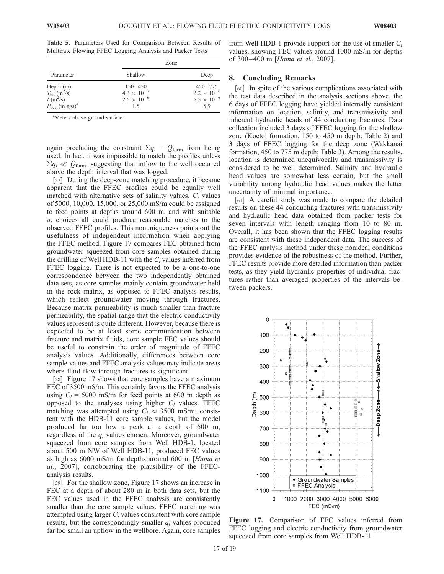Table 5. Parameters Used for Comparison Between Results of Multirate Flowing FFEC Logging Analysis and Packer Tests

|                                                                              | Zone                 |                      |  |  |
|------------------------------------------------------------------------------|----------------------|----------------------|--|--|
| Parameter                                                                    | Shallow              | Deep                 |  |  |
|                                                                              | $150 - 450$          | $450 - 775$          |  |  |
| Depth (m)<br>$T_{\text{tot}}$ (m <sup>2</sup> /s)<br>$I$ (m <sup>2</sup> /s) | $4.3 \times 10^{-7}$ | $2.2 \times 10^{-6}$ |  |  |
|                                                                              | $2.5 \times 10^{-6}$ | $5.5 \times 10^{-6}$ |  |  |
| $P_{\text{avg}}$ (m ags) <sup>a</sup>                                        | 15                   | 5.9                  |  |  |

<sup>a</sup>Meters above ground surface.

again precluding the constraint  $\Sigma q_i = Q_{\text{form}}$  from being used. In fact, it was impossible to match the profiles unless  $\Sigma q_i \ll Q_{\text{form}}$ , suggesting that inflow to the well occurred above the depth interval that was logged.

[57] During the deep-zone matching procedure, it became apparent that the FFEC profiles could be equally well matched with alternative sets of salinity values.  $C_i$  values of 5000, 10,000, 15,000, or 25,000 mS/m could be assigned to feed points at depths around 600 m, and with suitable  $q_i$  choices all could produce reasonable matches to the observed FFEC profiles. This nonuniqueness points out the usefulness of independent information when applying the FFEC method. Figure 17 compares FEC obtained from groundwater squeezed from core samples obtained during the drilling of Well HDB-11 with the  $C<sub>i</sub>$  values inferred from FFEC logging. There is not expected to be a one-to-one correspondence between the two independently obtained data sets, as core samples mainly contain groundwater held in the rock matrix, as opposed to FFEC analysis results, which reflect groundwater moving through fractures. Because matrix permeability is much smaller than fracture permeability, the spatial range that the electric conductivity values represent is quite different. However, because there is expected to be at least some communication between fracture and matrix fluids, core sample FEC values should be useful to constrain the order of magnitude of FFEC analysis values. Additionally, differences between core sample values and FFEC analysis values may indicate areas where fluid flow through fractures is significant.

[58] Figure 17 shows that core samples have a maximum FEC of 3500 mS/m. This certainly favors the FFEC analysis using  $C_i = 5000$  mS/m for feed points at 600 m depth as opposed to the analyses using higher  $C_i$  values. FFEC matching was attempted using  $C_i \approx 3500$  mS/m, consistent with the HDB-11 core sample values, but the model produced far too low a peak at a depth of 600 m, regardless of the  $q_i$  values chosen. Moreover, groundwater squeezed from core samples from Well HDB-1, located about 500 m NW of Well HDB-11, produced FEC values as high as 6000 mS/m for depths around 600 m [Hama et al., 2007], corroborating the plausibility of the FFECanalysis results.

[59] For the shallow zone, Figure 17 shows an increase in FEC at a depth of about 280 m in both data sets, but the FEC values used in the FFEC analysis are consistently smaller than the core sample values. FFEC matching was attempted using larger  $C_i$  values consistent with core sample results, but the correspondingly smaller  $q_i$  values produced far too small an upflow in the wellbore. Again, core samples

from Well HDB-1 provide support for the use of smaller  $C_i$ values, showing FEC values around 1000 mS/m for depths of 300-400 m [Hama et al., 2007].

#### 8. Concluding Remarks

[60] In spite of the various complications associated with the test data described in the analysis sections above, the 6 days of FFEC logging have yielded internally consistent information on location, salinity, and transmissivity and inherent hydraulic heads of 44 conducting fractures. Data collection included 3 days of FFEC logging for the shallow zone (Koetoi formation, 150 to 450 m depth; Table 2) and 3 days of FFEC logging for the deep zone (Wakkanai formation, 450 to 775 m depth; Table 3). Among the results, location is determined unequivocally and transmissivity is considered to be well determined. Salinity and hydraulic head values are somewhat less certain, but the small variability among hydraulic head values makes the latter uncertainty of minimal importance.

[61] A careful study was made to compare the detailed results on these 44 conducting fractures with transmissivity and hydraulic head data obtained from packer tests for seven intervals with length ranging from 10 to 80 m. Overall, it has been shown that the FFEC logging results are consistent with these independent data. The success of the FFEC analysis method under these nonideal conditions provides evidence of the robustness of the method. Further, FFEC results provide more detailed information than packer tests, as they yield hydraulic properties of individual fractures rather than averaged properties of the intervals between packers.



Figure 17. Comparison of FEC values inferred from FFEC logging and electric conductivity from groundwater squeezed from core samples from Well HDB-11.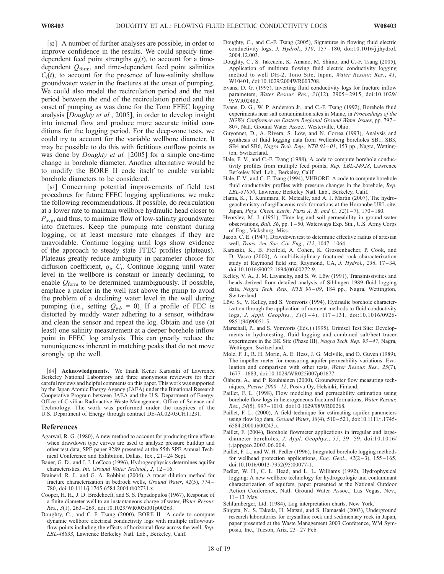[62] A number of further analyses are possible, in order to improve confidence in the results. We could specify timedependent feed point strengths  $q_i(t)$ , to account for a timedependent  $Q<sub>form</sub>$ , and time-dependent feed point salinities  $C_i(t)$ , to account for the presence of low-salinity shallow groundwater water in the fractures at the onset of pumping. We could also model the recirculation period and the rest period between the end of the recirculation period and the onset of pumping as was done for the Tono FFEC logging analysis [Doughty et al., 2005], in order to develop insight into internal flow and produce more accurate initial conditions for the logging period. For the deep-zone tests, we could try to account for the variable wellbore diameter. It may be possible to do this with fictitious outflow points as was done by *Doughty et al.* [2005] for a simple one-time change in borehole diameter. Another alternative would be to modify the BORE II code itself to enable variable borehole diameters to be considered.

[63] Concerning potential improvements of field test procedures for future FFEC logging applications, we make the following recommendations. If possible, do recirculation at a lower rate to maintain wellbore hydraulic head closer to  $P_{\text{avg}}$ , and thus, to minimize flow of low-salinity groundwater into fractures. Keep the pumping rate constant during logging, or at least measure rate changes if they are unavoidable. Continue logging until logs show evidence of the approach to steady state FFEC profiles (plateaus). Plateaus greatly reduce ambiguity in parameter choice for diffusion coefficient,  $q_i$ ,  $C_i$ . Continue logging until water level in the wellbore is constant or linearly declining, to enable  $Q_{\text{form}}$  to be determined unambiguously. If possible, emplace a packer in the well just above the pump to avoid the problem of a declining water level in the well during pumping (i.e., setting  $Q_{wb} = 0$ ). If a profile of FEC is distorted by muddy water adhering to a sensor, withdraw and clean the sensor and repeat the log. Obtain and use (at least) one salinity measurement at a deeper borehole inflow point in FFEC log analysis. This can greatly reduce the nonuniqueness inherent in matching peaks that do not move strongly up the well.

[64] Acknowledgments. We thank Kenzi Karasaki of Lawrence Berkeley National Laboratory and three anonymous reviewers for their careful reviews and helpful comments on this paper. This work was supported by the Japan Atomic Energy Agency (JAEA) under the Binational Research Cooperative Program between JAEA and the U.S. Department of Energy, Office of Civilian Radioactive Waste Management, Office of Science and Technology. The work was performed under the auspices of the U.S. Department of Energy through contract DE-AC02-05CH11231.

#### References

- Agarwal, R. G. (1980), A new method to account for producing time effects when drawdown type curves are used to analyze pressure buildup and other test data, SPE paper 9289 presented at the 55th SPE Annual Technical Conference and Exhibition, Dallas, Tex., 21-24 Sept.
- Bauer, G. D., and J. J. LoCoco (1996), Hydrogeophysics determines aquifer characteristics, Int. Ground Water Technol., 2, 12-16.
- Brainerd, R. J., and G. A. Robbins (2004), A tracer dilution method for fracture characterization in bedrock wells, Ground Water, 42(5), 774 – 780, doi:10.1111/j.1745-6584.2004.tb02731.x.
- Cooper, H. H., J. D. Bredehoeft, and S. S. Papadopulos (1967), Response of a finite-diameter well to an instantaneous charge of water, Water Resour. Res., 3(1), 263 – 269, doi:10.1029/WR003i001p00263.
- Doughty, C., and C.-F. Tsang (2000), BORE II—A code to compute dynamic wellbore electrical conductivity logs with multiple inflow/outflow points including the effects of horizontal flow across the well, Rep. LBL-46833, Lawrence Berkeley Natl. Lab., Berkeley, Calif.
- Doughty, C., and C.-F. Tsang (2005), Signatures in flowing fluid electric conductivity logs, *J. Hydrol.*, 310, 157-180, doi:10.1016/j.jhydrol. 2004.12.003.
- Doughty, C., S. Takeuchi, K. Amano, M. Shimo, and C.-F. Tsang (2005), Application of multirate flowing fluid electric conductivity logging method to well DH-2, Tono Site, Japan, Water Resour. Res., 41, W10401, doi:10.1029/2004WR003708.
- Evans, D. G. (1995), Inverting fluid conductivity logs for fracture inflow parameters, Water Resour. Res., 31(12), 2905 – 2915, doi:10.1029/ 95WR02482.
- Evans, D. G., W. P. Anderson Jr., and C.-F. Tsang (1992), Borehole fluid experiments near salt contamination sites in Maine, in Proceedings of the NGWA Conference on Eastern Regional Ground Water Issues, pp. 797 – 807, Natl. Ground Water Assoc., Westerville, Ohio.
- Guyonnet, D., A. Rivera, S. Löw, and N. Correa (1993), Analysis and synthesis of fluid logging data from Wellenberg boreholes SB1, SB3, SB4 and SB6, Nagra Tech. Rep., NTB 92-01, 153 pp., Nagra, Wettington, Switzerland.
- Hale, F. V., and C.-F. Tsang (1988), A code to compute borehole conductivity profiles from multiple feed points, Rep. LBL-24928, Lawrence Berkeley Natl. Lab., Berkeley, Calif.
- Hale, F. V., and C.-F. Tsang (1994), VHBORE: A code to compute borehole fluid conductivity profiles with pressure changes in the borehole, Rep. LBL-31050, Lawrence Berkeley Natl. Lab., Berkeley, Calif.
- Hama, K., T. Kunimaru, R. Metcalfe, and A. J. Martin (2007), The hydrogeochemistry of argillaceous rock formations at the Horonobe URL site, Japan, Phys. Chem. Earth, Parts A, B, and C,  $32(1-7)$ ,  $170-180$ .
- Hvorslev, M. J. (1951), Time lag and soil permeability in ground-water observations, Bull. 36, pp. 1 – 50, Waterways Exp. Stn., U.S. Army Corps of Eng., Vicksburg, Miss.
- Jacob, C. E. (1947), Drawdown test to determine effective radius of artesian well, Trans. Am. Soc. Civ. Eng., 112, 1047-1064.
- Karasaki, K., B. Freifeld, A. Cohen, K. Grossenbacher, P. Cook, and D. Vasco (2000), A multidisciplinary fractured rock characterization study at Raymond field site, Raymond, CA, J. Hydrol., 236, 17-34, doi:10.1016/S0022-1694(00)00272-9.
- Kelley, V. A., J. M. Lavanchy, and S. W. Löw (1991), Transmissivities and heads derived from detailed analysis of Siblingen 1989 fluid logging data, Nagra Tech. Rep., NTB 90-09, 184 pp., Nagra, Wettington, Switzerland.
- Löw, S., V. Kelley, and S. Vomvoris (1994), Hydraulic borehole characterization through the application of moment methods to fluid conductivity logs, J. Appl. Geophys.,  $31(1-4)$ ,  $117-131$ , doi:10.1016/0926-9851(94)90051-5.
- Marschall, P., and S. Vomvoris (Eds.) (1995), Grimsel Test Site: Developments in hydrotesting, fluid logging and combined salt/heat tracer experiments in the BK Site (Phase III), Nagra Tech. Rep. 93-47, Nagra, Wettingen, Switzerland.
- Molz, F. J., R. H. Morin, A. E. Hess, J. G. Melville, and O. Guven (1989), The impeller meter for measuring aquifer permeability variations: Evaluation and comparison with other tests, Water Resour. Res., 25(7), 1677 – 1683, doi:10.1029/WR025i007p01677.
- Öhberg, A., and P. Rouhiainen (2000), Groundwater flow measuring techniques, Posiva 2000-12, Posiva Oy, Helsinki, Finland.
- Paillet, F. L. (1998), Flow modeling and permeability estimation using borehole flow logs in heterogeneous fractured formations, Water Resour. Res., 34(5), 997 – 1010, doi:10.1029/98WR00268.
- Paillet, F. L. (2000), A field technique for estimating aquifer parameters using flow log data, Ground Water, 38(4), 510 – 521, doi:10.1111/j.1745- 6584.2000.tb00243.x.
- Paillet, F. (2004), Borehole flowmeter applications in irregular and largediameter boreholes, J. Appl. Geophys., 55, 39 – 59, doi:10.1016/ j.jappgeo.2003.06.004.
- Paillet, F. L., and W. H. Pedler (1996), Integrated borehole logging methods for wellhead protection applications, Eng. Geol.,  $42(2-3)$ ,  $155-165$ , doi:10.1016/0013-7952(95)00077-1.
- Pedler, W. H., C. L. Head, and L. L. Williams (1992), Hydrophysical logging: A new wellbore technology for hydrogeologic and contaminant characterization of aquifers, paper presented at the National Outdoor Action Conference, Natl. Ground Water Assoc., Las Vegas, Nev.,  $11 - 13$  May.
- Schlumberger, Ltd. (1984), Log interpretation charts, New York.
- Shigeta, N., S. Takeda, H. Matsui, and S. Hamasaki (2003), Underground research laboratories for crystalline rock and sedimentary rock in Japan, paper presented at the Waste Management 2003 Conference, WM Symposia, Inc., Tucson, Ariz, 23-27 Feb.